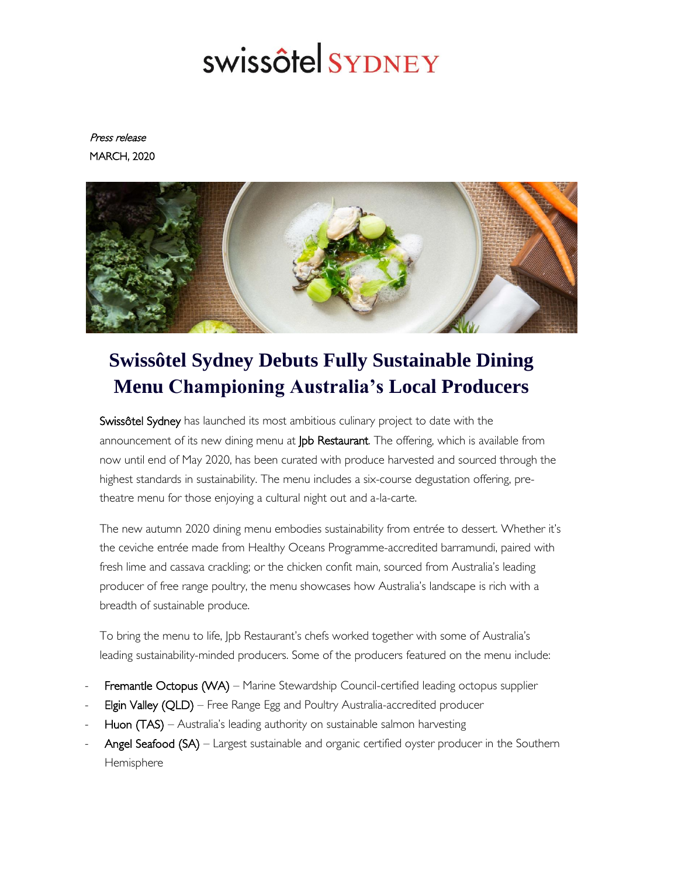# swissôtel SYDNEY

Press release MARCH, 2020



## **Swissôtel Sydney Debuts Fully Sustainable Dining Menu Championing Australia's Local Producers**

Swissôtel Sydney has launched its most ambitious culinary project to date with the announcement of its new dining menu at Jpb Restaurant. The offering, which is available from now until end of May 2020, has been curated with produce harvested and sourced through the highest standards in sustainability. The menu includes a six-course degustation offering, pretheatre menu for those enjoying a cultural night out and a-la-carte.

The new autumn 2020 dining menu embodies sustainability from entrée to dessert. Whether it's the ceviche entrée made from Healthy Oceans Programme-accredited barramundi, paired with fresh lime and cassava crackling; or the chicken confit main, sourced from Australia's leading producer of free range poultry, the menu showcases how Australia's landscape is rich with a breadth of sustainable produce.

To bring the menu to life, Jpb Restaurant's chefs worked together with some of Australia's leading sustainability-minded producers. Some of the producers featured on the menu include:

- Fremantle Octopus (WA) Marine Stewardship Council-certified leading octopus supplier
- Elgin Valley (QLD) Free Range Egg and Poultry Australia-accredited producer
- Huon (TAS) Australia's leading authority on sustainable salmon harvesting
- Angel Seafood (SA) Largest sustainable and organic certified oyster producer in the Southern **Hemisphere**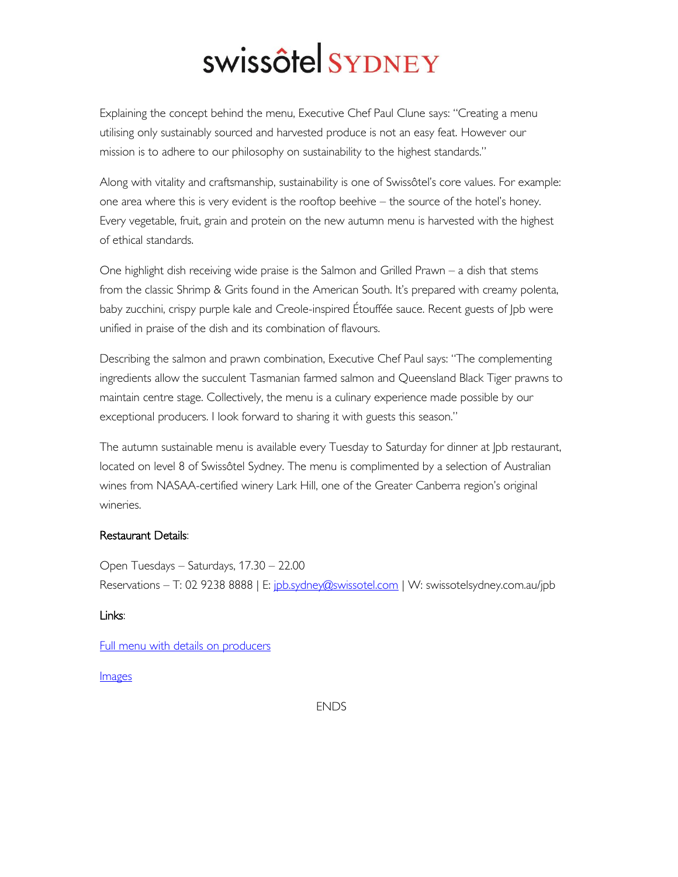# swissôtel SYDNEY

Explaining the concept behind the menu, Executive Chef Paul Clune says: "Creating a menu utilising only sustainably sourced and harvested produce is not an easy feat. However our mission is to adhere to our philosophy on sustainability to the highest standards."

Along with vitality and craftsmanship, sustainability is one of Swissôtel's core values. For example: one area where this is very evident is the rooftop beehive – the source of the hotel's honey. Every vegetable, fruit, grain and protein on the new autumn menu is harvested with the highest of ethical standards.

One highlight dish receiving wide praise is the Salmon and Grilled Prawn – a dish that stems from the classic Shrimp & Grits found in the American South. It's prepared with creamy polenta, baby zucchini, crispy purple kale and Creole-inspired Étouffée sauce. Recent guests of Jpb were unified in praise of the dish and its combination of flavours.

Describing the salmon and prawn combination, Executive Chef Paul says: "The complementing ingredients allow the succulent Tasmanian farmed salmon and Queensland Black Tiger prawns to maintain centre stage. Collectively, the menu is a culinary experience made possible by our exceptional producers. I look forward to sharing it with guests this season."

The autumn sustainable menu is available every Tuesday to Saturday for dinner at Jpb restaurant, located on level 8 of Swissôtel Sydney. The menu is complimented by a selection of Australian wines from NASAA-certified winery Lark Hill, one of the Greater Canberra region's original wineries.

### Restaurant Details:

Open Tuesdays – Saturdays, 17.30 – 22.00 Reservations – T: 02 9238 8888 | E: [jpb.sydney@swissotel.com](mailto:jpb.sydney@swissotel.com) | W: swissotelsydney.com.au/jpb

### Links:

[Full menu with details on producers](http://bit.ly/2PsdWn2)

### **Images**

ENDS